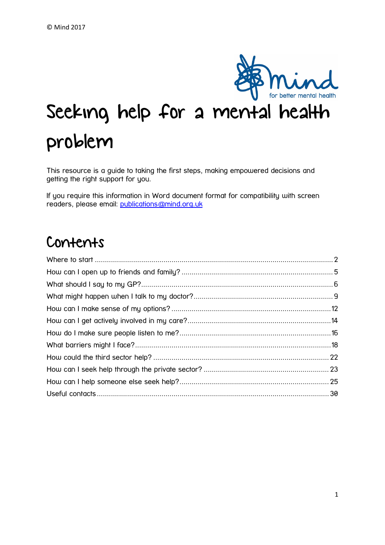

# Seeking help for a mental health problem

This resource is a guide to taking the first steps, making empowered decisions and getting the right support for you.

If you require this information in Word document format for compatibility with screen readers, please email: [publications@mind.org.uk](mailto:publications@mind.org.uk)

## Contents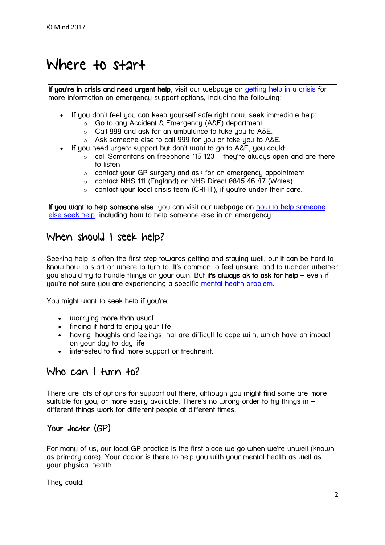## <span id="page-1-0"></span>Where to start

Iff you're in crisis and need yraent help, visit our webpage on [getting help in a crisis](https://www.mind.org.uk/information-support/guides-to-support-and-services/crisis-services/help-in-a-crisis/) for more information on emergency support options, including the following:

- If you don't feel you can keep yourself safe right now, seek immediate help:
	- o Go to any Accident & Emergency (A&E) department.
	- o Call 999 and ask for an ambulance to take you to A&E.
	- o Ask someone else to call 999 for you or take you to A&E.
- If you need urgent support but don't want to go to A&E, you could:
	- $\circ$  call Samaritans on freephone 116 123 theu're always open and are there to listen
	- o contact your GP surgery and ask for an emergency appointment
	- o contact NHS 111 (England) or NHS Direct 0845 46 47 (Wales)
	- o contact your local crisis team (CRHT), if you're under their care.

Iff you want to help someone else, you can visit our webpage on how to help someone [else seek help,](https://www.mind.org.uk/information-support/guides-to-support-and-services/seeking-help-for-a-mental-health-problem/helping-someone-else-seek-help/) including how to help someone else in an emergency.

### When should I seek help?

Seeking help is often the first step towards getting and staying well, but it can be hard to know how to start or where to turn to. It's common to feel unsure, and to wonder whether you should try to handle things on your own. But it's always ok to ask for help – even if you're not sure you are experiencing a specific mental [health problem.](https://www.mind.org.uk/information-support/types-of-mental-health-problems/)

You might want to seek help if you're:

- worrying more than usual
- finding it hard to enjoy your life
- having thoughts and feelings that are difficult to cope with, which have an impact on your day-to-day life
- interested to find more support or treatment.

### Who can I turn to?

There are lots of options for support out there, although you might find some are more suitable for you, or more easily available. There's no wrong order to try things in  $$ different things work for different people at different times.

#### Your doctor (GP)

For many of us, our local GP practice is the first place we go when we're unwell (known as primary care). Your doctor is there to help you with your mental health as well as your physical health.

Theu could: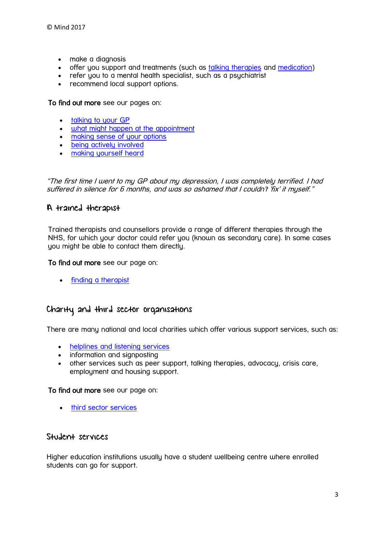- make a diagnosis
- offer you support and treatments (such as [talking therapies](https://www.mind.org.uk/information-support/drugs-and-treatments/talking-therapy-and-counselling/) and [medication\)](https://www.mind.org.uk/information-support/drugs-and-treatments/medication/)
- refer you to a mental health specialist, such as a psychiatrist
- recommend local support options.

To find out more see our pages on:

- [talking to your GP](https://www.mind.org.uk/information-support/guides-to-support-and-services/seeking-help-for-a-mental-health-problem/talking-to-your-gp/)
- [what might happen at the appointment](https://www.mind.org.uk/information-support/guides-to-support-and-services/seeking-help-for-a-mental-health-problem/what-might-happen-at-a-gp-appointment/)
- [making sense of your options](https://www.mind.org.uk/information-support/guides-to-support-and-services/seeking-help-for-a-mental-health-problem/making-sense-of-your-options/)
- **[being actively involved](https://www.mind.org.uk/information-support/guides-to-support-and-services/seeking-help-for-a-mental-health-problem/being-actively-involved/)**
- [making yourself heard](https://www.mind.org.uk/information-support/guides-to-support-and-services/seeking-help-for-a-mental-health-problem/making-yourself-heard/)

"The first time I went to my GP about my depression, I was completely terrified. I had suffered in silence for 6 months, and was so ashamed that I couldn't 'fix' it myself."

#### A trained therapist

Trained therapists and counsellors provide a range of different therapies through the NHS, for which your doctor could refer you (known as secondary care). In some cases you might be able to contact them directly.

To find out more see our page on:

• [finding a therapist](https://www.mind.org.uk/information-support/drugs-and-treatments/talking-therapy-and-counselling/how-to-find-a-therapist/) 

#### Charity and third sector organisations

There are many national and local charities which offer various support services, such as:

- [helplines and listening services](https://www.mind.org.uk/information-support/guides-to-support-and-services/crisis-services/helplines-listening-services/)
- information and signposting
- other services such as peer support, talking therapies, advocacy, crisis care, employment and housing support.

To find out more see our page on:

• [third sector services](https://www.mind.org.uk/information-support/guides-to-support-and-services/seeking-help-for-a-mental-health-problem/third-sector-services/)

#### Student services

Higher education institutions usually have a student wellbeing centre where enrolled students can go for support.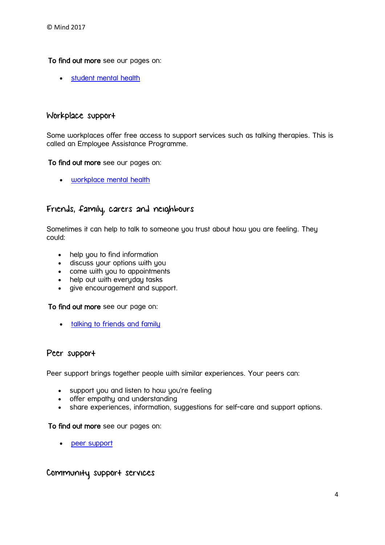#### To find out more see our pages on:

• [student mental health](https://www.mind.org.uk/information-support/tips-for-everyday-living/student-life/)

#### Workplace support

Some workplaces offer free access to support services such as talking therapies. This is called an Employee Assistance Programme.

#### To find out more see our pages on:

• [workplace mental health](https://www.mind.org.uk/information-support/tips-for-everyday-living/workplace-mental-health/)

#### Friends, family, carers and neighbours

Sometimes it can help to talk to someone you trust about how you are feeling. They could:

- help you to find information
- discuss your options with you
- come with you to appointments
- help out with everyday tasks
- give encouragement and support.

#### To find out more see our page on:

• [talking to friends and family](https://www.mind.org.uk/information-support/guides-to-support-and-services/seeking-help-for-a-mental-health-problem/talking-to-friends-family/)

#### Peer support

Peer support brings together people with similar experiences. Your peers can:

- support you and listen to how you're feeling
- offer empathy and understanding
- share experiences, information, suggestions for self-care and support options.

#### To find out more see our pages on:

• [peer support](https://www.mind.org.uk/information-support/drugs-and-treatments/peer-support/)

#### Community support services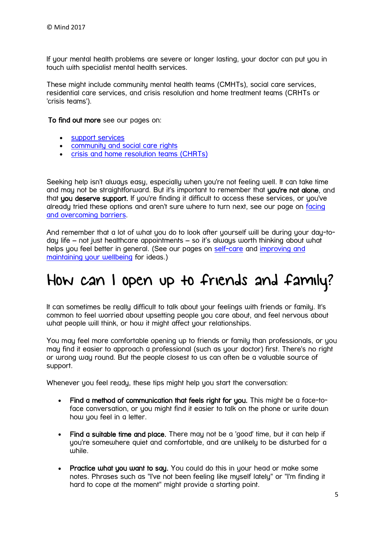If your mental health problems are severe or longer lasting, your doctor can put you in touch with specialist mental health services.

These might include community mental health teams (CMHTs), social care services, residential care services, and crisis resolution and home treatment teams (CRHTs or 'crisis teams').

To find out more see our pages on:

- [support services](https://www.mind.org.uk/information-support/types-of-mental-health-problems/mental-health-problems-introduction/support-services/)
- [community and social care rights](https://www.mind.org.uk/information-support/legal-rights/health-and-social-care-rights/)
- crisis [and home resolution teams \(CHRTs\)](https://www.mind.org.uk/information-support/guides-to-support-and-services/crisis-services/crisis-teams-crhts/)

Seeking help isn't always easy, especially when you're not feeling well. It can take time and may not be straightforward. But it's important to remember that you're not alone, and that you deserve support. If you're finding it difficult to access these services, or you've already tried these options and aren't sure where to turn next, see our page on [facing](https://www.mind.org.uk/information-support/guides-to-support-and-services/seeking-help-for-a-mental-health-problem/facing-overcoming-barriers/)  [and overcoming barriers.](https://www.mind.org.uk/information-support/guides-to-support-and-services/seeking-help-for-a-mental-health-problem/facing-overcoming-barriers/)

And remember that a lot of what you do to look after yourself will be during your day-today life – not just healthcare appointments – so it's always worth thinking about what helps you feel better in general. (See our pages on [self-care](https://www.mind.org.uk/information-support/types-of-mental-health-problems/mental-health-problems-introduction/self-care/) and improving and [maintaining your wellbeing](https://www.mind.org.uk/information-support/tips-for-everyday-living/wellbeing/) for ideas.)

## <span id="page-4-0"></span>How can I open up to friends and family?

It can sometimes be really difficult to talk about your feelings with friends or family. It's common to feel worried about upsetting people you care about, and feel nervous about what people will think, or how it might affect your relationships.

You may feel more comfortable opening up to friends or family than professionals, or you may find it easier to approach a professional (such as your doctor) first. There's no right or wrong way round. But the people closest to us can often be a valuable source of support.

Whenever you feel ready, these tips might help you start the conversation:

- Find a method of communication that feels right for you. This might be a face-toface conversation, or you might find it easier to talk on the phone or write down how you feel in a letter.
- Find a suitable time and place. There may not be a 'good' time, but it can help if you're somewhere quiet and comfortable, and are unlikely to be disturbed for a uthile.
- Practice what you want to say. You could do this in your head or make some notes. Phrases such as "I've not been feeling like myself lately" or "I'm finding it hard to cope at the moment" might provide a starting point.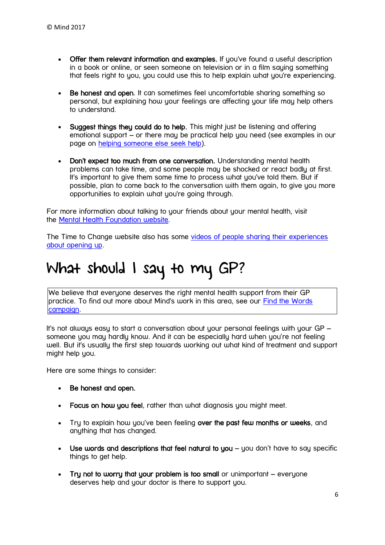- Offer them relevant information and examples. If you've found a useful description in a book or online, or seen someone on television or in a film saying something that feels right to you, you could use this to help explain what you're experiencing.
- Be honest and open. It can sometimes feel uncomfortable sharing something so personal, but explaining how your feelings are affecting your life may help others to understand.
- Suggest things they could do to help. This might just be listening and offering emotional support – or there may be practical help you need (see examples in our page on [helping someone else seek help\)](https://www.mind.org.uk/information-support/guides-to-support-and-services/seeking-help-for-a-mental-health-problem/helping-someone-else-seek-help/).
- Don't expect too much from one conversation. Understanding mental health problems can take time, and some people may be shocked or react badly at first. It's important to give them some time to process what you've told them. But if possible, plan to come back to the conversation with them again, to give you more opportunities to explain what you're going through.

For more information about talking to your friends about your mental health, visit the [Mental Health Foundation website.](https://www.mentalhealth.org.uk/a-to-z/f/friendship-and-mental-health)

The Time to Change website also has some [videos of people sharing their experiences](https://www.time-to-change.org.uk/talk-about-mental-health/telling-someone-about-your-mental-health-problem)  [about opening up.](https://www.time-to-change.org.uk/talk-about-mental-health/telling-someone-about-your-mental-health-problem)

## <span id="page-5-0"></span>What should I say to my GP?

We believe that everyone deserves the right mental health support from their GP practice. To find out more about Mind's work in this area, see our [Find the Words](https://www.mind.org.uk/news-campaigns/campaigns/you-and-your-gp/)  [campaign.](https://www.mind.org.uk/news-campaigns/campaigns/you-and-your-gp/)

It's not always easy to start a conversation about your personal feelings with your GP – someone you may hardly know. And it can be especially hard when you're not feeling well. But it's usually the first step towards working out what kind of treatment and support might help you.

Here are some things to consider:

- Be honest and open.
- Focus on how you feel, rather than what diagnosis you might meet.
- Tru to explain how you've been feeling over the past few months or weeks, and anything that has changed.
- Use words and descriptions that feel natural to you you don't have to say specific things to get help.
- Try not to worry that your problem is too small or unimportant everyone deserves help and your doctor is there to support you.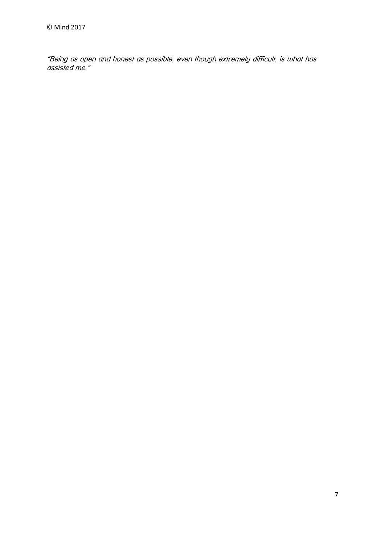"Being as open and honest as possible, even though extremely difficult, is what has assisted me."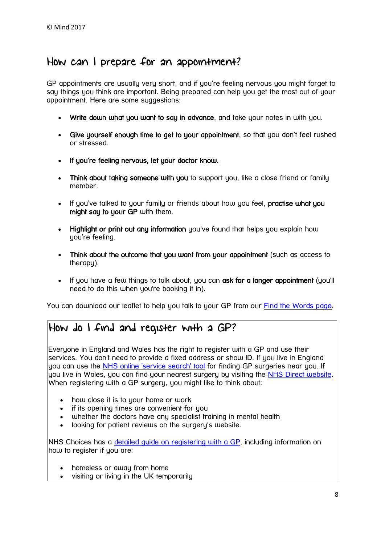## How can I prepare for an appointment?

GP appointments are usually very short, and if you're feeling nervous you might forget to say things you think are important. Being prepared can help you get the most out of your appointment. Here are some suggestions:

- Write down what you want to say in advance, and take your notes in with you.
- Give yourself enough time to get to your appointment, so that you don't feel rushed or stressed.
- If you're feeling nervous, let your doctor know.
- Think about taking someone with you to support you, like a close friend or family member.
- If you've talked to your family or friends about how you feel, practise what you might say to your GP with them.
- Highlight or print out any information you've found that helps you explain how you're feeling.
- Think about the outcome that you want from your appointment (such as access to therapy).
- If you have a few things to talk about, you can ask for a longer appointment (you'll need to do this when you're booking it in).

You can download our leaflet to help you talk to your GP from our [Find the Words](https://www.mind.org.uk/news-campaigns/campaigns/you-and-your-gp/for-gp-patients/) page.

## How do I find and register with a GP?

Everyone in England and Wales has the right to register with a GP and use their services. You don't need to provide a fixed address or show ID. If you live in England you can use the [NHS online 'service search' tool](http://www.nhs.uk/Service-Search/) for finding GP surgeries near you. If you live in Wales, you can find your nearest surgery by visiting the [NHS Direct website.](http://www.nhsdirect.wales.nhs.uk/LocalServices/Default.aspx?s=GPSurgeries) When registering with a GP surgery, you might like to think about:

- how close it is to your home or work
- if its opening times are convenient for you
- whether the doctors have any specialist training in mental health
- looking for patient reviews on the surgery's website.

NHS Choices has a [detailed guide on registering with a GP,](http://www.nhs.uk/NHSEngland/AboutNHSservices/doctors/Pages/NHSGPs.aspx) including information on how to reaister if you are:

- homeless or away from home
- visiting or living in the UK temporarily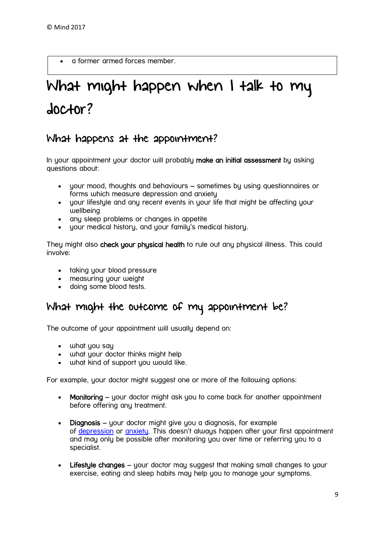• a former armed forces member.

## <span id="page-8-0"></span>What might happen when I talk to my doctor?

### What happens at the appointment?

In your appointment your doctor will probably make an initial assessment by asking questions about:

- your mood, thoughts and behaviours sometimes by using questionnaires or forms which measure depression and anxiety
- your lifestyle and any recent events in your life that might be affecting your wellbeing
- any sleep problems or changes in appetite
- your medical history, and your family's medical history.

They might also check your physical health to rule out any physical illness. This could involve:

- taking your blood pressure
- measuring your weight
- doing some blood tests.

### What might the outcome of my appointment be?

The outcome of your appointment will usually depend on:

- what you say
- what your doctor thinks might help
- what kind of support you would like.

For example, your doctor might suggest one or more of the following options:

- Monitoring your doctor might ask you to come back for another appointment before offering any treatment.
- Diagnosis your doctor might give you a diagnosis, for example of [depression](https://www.mind.org.uk/information-support/types-of-mental-health-problems/depression/) or [anxiety.](https://www.mind.org.uk/information-support/types-of-mental-health-problems/anxiety-and-panic-attacks/) This doesn't always happen after your first appointment and may only be possible after monitoring you over time or referring you to a specialist.
- Lifestule changes your doctor may suggest that making small changes to your exercise, eating and sleep habits may help you to manage your symptoms.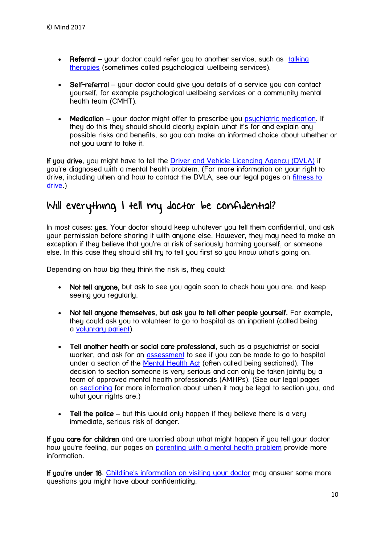- Referral your doctor could refer you to another service, such as  $talking$ [therapies](https://www.mind.org.uk/information-support/drugs-and-treatments/talking-therapy-and-counselling/) (sometimes called psychological wellbeing services).
- Self-referral your doctor could give you details of a service you can contact yourself, for example psychological wellbeing services or a community mental health team (CMHT).
- Medication your doctor might offer to prescribe you [psychiatric medication.](https://www.mind.org.uk/information-support/drugs-and-treatments/medication/) If they do this they should should clearly explain what it's for and explain any possible risks and benefits, so you can make an informed choice about whether or not you want to take it.

If you drive, you might have to tell the [Driver and Vehicle Licencing Agency \(DVLA\)](https://www.gov.uk/government/organisations/driver-and-vehicle-licensing-agency) if you're diagnosed with a mental health problem. (For more information on your right to drive, including when and how to contact the DVLA, see our legal pages on [fitness to](https://www.mind.org.uk/information-support/legal-rights/fitness-to-drive/)  [drive.](https://www.mind.org.uk/information-support/legal-rights/fitness-to-drive/))

## Will everything I tell my doctor be confidential?

In most cases: **yes.** Your doctor should keep whatever you tell them confidential, and ask your permission before sharing it with anyone else. However, they may need to make an exception if they believe that you're at risk of seriously harming yourself, or someone else. In this case they should still try to tell you first so you know what's going on.

Depending on how big they think the risk is, they could:

- Not tell anyone, but ask to see you again soon to check how you are, and keep seeing you regularly.
- Not tell anyone themselves, but ask you to tell other people yourself. For example, they could ask you to volunteer to go to hospital as an inpatient (called being a [voluntary patient\)](https://www.mind.org.uk/information-support/legal-rights/voluntary-patients/).
- Tell another health or social care professional, such as a psychiatrist or social worker, and ask for an **[assessment](https://www.mind.org.uk/information-support/legal-rights/sectioning/being-assessed/)** to see if you can be made to go to hospital under a section of the [Mental Health Act](https://www.mind.org.uk/information-support/legal-rights/mental-health-act-1983/) (often called being sectioned). The decision to section someone is very serious and can only be taken jointly by a team of approved mental health professionals (AMHPs). (See our legal pages on [sectioning](https://www.mind.org.uk/information-support/legal-rights/sectioning/) for more information about when it may be legal to section you, and what your rights are.)
- Tell the police but this would only happen if they believe there is a very immediate, serious risk of danger.

If you care for children and are worried about what might happen if you tell your doctor how you're feeling, our pages on [parenting with a mental health problem](https://www.mind.org.uk/information-support/tips-for-everyday-living/parenting-with-a-mental-health-problem/) provide more information.

If you're under 18, [Childline's information on visiting your doctor](https://www.childline.org.uk/info-advice/you-your-body/getting-help/visiting-your-doctor/) may answer some more questions you might have about confidentiality.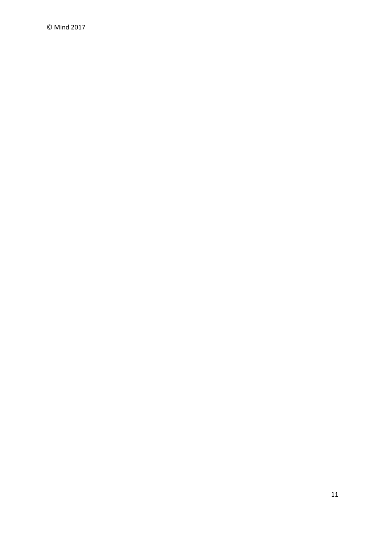© Mind 2017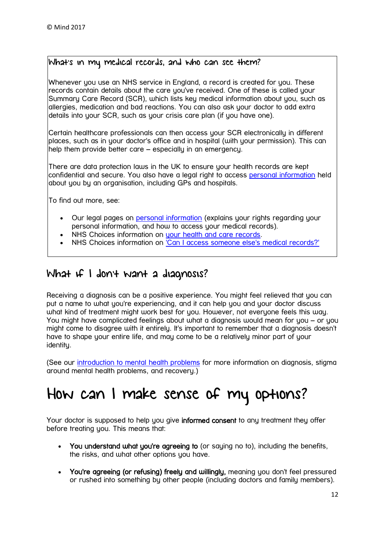## What's in my medical records, and who can see them?

Whenever you use an NHS service in England, a record is created for you. These records contain details about the care you've received. One of these is called your Summary Care Record (SCR), which lists key medical information about you, such as allergies, medication and bad reactions. You can also ask your doctor to add extra details into your SCR, such as your crisis care plan (if you have one).

Certain healthcare professionals can then access your SCR electronically in different places, such as in your doctor's office and in hospital (with your permission). This can help them provide better care – especially in an emergency.

There are data protection laws in the UK to ensure your health records are kept confidential and secure. You also have a legal right to access [personal information](https://www.mind.org.uk/information-support/new-legal-publications/my-personal-information-know-your-rights/terms-you-need-to-know/#Personal_information) held about you by an organisation, including GPs and hospitals.

To find out more, see:

- Our legal pages on [personal information](https://www.mind.org.uk/information-support/legal-rights/personal-information/) (explains your rights regarding your personal information, and how to access your medical records).
- NHS Choices information on [your health and care records.](https://www.nhs.uk/NHSEngland/thenhs/records/healthrecords/Pages/overview.aspx)
- NHS Choices information on ['Can I access someone else's medical records?'](https://www.nhs.uk/chq/Pages/access-to-someone-elses-medical-or-health-records.aspx)

### What if I don't want a diagnosis?

Receiving a diagnosis can be a positive experience. You might feel relieved that you can put a name to what you're experiencing, and it can help you and your doctor discuss what kind of treatment might work best for you. However, not everyone feels this way. You might have complicated feelings about what a diagnosis would mean for you – or you might come to disagree with it entirely. It's important to remember that a diagnosis doesn't have to shape your entire life, and may come to be a relatively minor part of your identity.

(See our [introduction to mental health problems](https://www.mind.org.uk/information-support/types-of-mental-health-problems/mental-health-problems-introduction/) for more information on diagnosis, stigma around mental health problems, and recovery.)

## <span id="page-11-0"></span>How can I make sense of my options?

Your doctor is supposed to help you give informed consent to any treatment they offer before treating you. This means that:

- You understand what you're agreeing to (or saying no to), including the benefits, the risks, and what other options you have.
- You're agreeing (or refusing) freely and willingly, meaning you don't feel pressured or rushed into something by other people (including doctors and family members).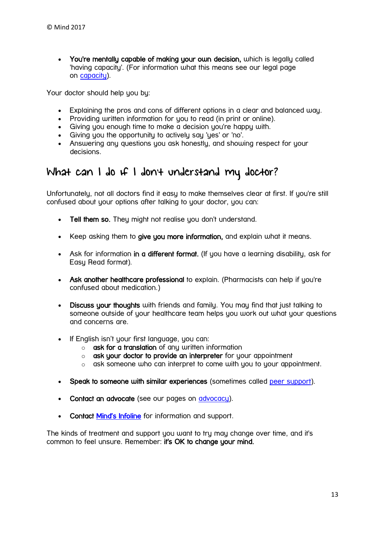• You're mentally capable of making your own decision, which is legally called 'having capacity'. (For information what this means see our legal page on [capacity\)](https://www.mind.org.uk/information-support/legal-rights/mental-capacity-act-2005/capacity/).

Your doctor should help you by:

- Explaining the pros and cons of different options in a clear and balanced way.
- Providing written information for you to read (in print or online).
- Giving you enough time to make a decision you're happy with.
- Giving you the opportunity to actively say 'yes' or 'no'.
- Answering any questions you ask honestly, and showing respect for your decisions.

## What can I do if I don't understand my doctor?

Unfortunately, not all doctors find it easy to make themselves clear at first. If you're still confused about your options after talking to your doctor, you can:

- Tell them so. They might not realise you don't understand.
- Keep asking them to give you more information, and explain what it means.
- Ask for information in a different format. (If you have a learning disability, ask for Easy Read format).
- Ask another healthcare professional to explain. (Pharmacists can help if you're confused about medication.)
- Discuss your thoughts with friends and family. You may find that just talking to someone outside of your healthcare team helps you work out what your questions and concerns are.
- If English isn't your first language, you can:
	- o ask for a translation of any written information
	- o ask your doctor to provide an interpreter for your appointment
	- o ask someone who can interpret to come with you to your appointment.
- Speak to someone with similar experiences (sometimes called [peer support\)](https://www.mind.org.uk/information-support/drugs-and-treatments/peer-support/).
- Contact an advocate (see our pages on [advocacy\)](https://www.mind.org.uk/information-support/guides-to-support-and-services/advocacy/).
- Contact [Mind's Infoline](https://www.mind.org.uk/information-support/helplines/) for information and support.

The kinds of treatment and support you want to try may change over time, and it's common to feel unsure. Remember: it's OK to change your mind.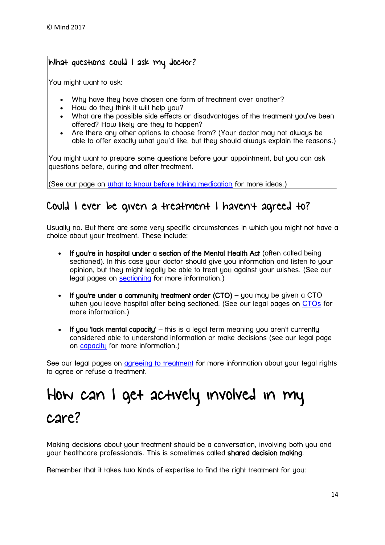#### What questions could I ask my doctor?

You might want to ask:

- Why have they have chosen one form of treatment over another?
- How do they think it will help you?
- What are the possible side effects or disadvantages of the treatment you've been offered? How likely are they to happen?
- Are there any other options to choose from? (Your doctor may not always be able to offer exactly what you'd like, but they should always explain the reasons.)

You might want to prepare some questions before your appointment, but you can ask questions before, during and after treatment.

(See our page on *[what to know before taking medication](https://www.mind.org.uk/information-support/drugs-and-treatments/medication/before-taking-medication/)* for more ideas.)

## Could I ever be given a treatment I haven't agreed to?

Usually no. But there are some very specific circumstances in which you might not have a choice about your treatment. These include:

- If you're in hospital under a section of the Mental Health Act (often called being sectioned). In this case your doctor should give you information and listen to your opinion, but they might legally be able to treat you against your wishes. (See our legal pages on [sectioning](https://www.mind.org.uk/information-support/legal-rights/sectioning/) for more information.)
- If you're under a community treatment order  $(CTO)$  you may be given a CTO when you leave hospital after being sectioned. (See our legal pages on [CTOs](https://www.mind.org.uk/information-support/legal-rights/community-treatment-orders-ctos/) for more information.)
- If you 'lack mental capacity' this is a legal term meaning you aren't currently considered able to understand information or make decisions (see our legal page on [capacity](https://www.mind.org.uk/information-support/legal-rights/mental-capacity-act-2005/capacity/) for more information.)

See our legal pages on *agreeing to treatment* for more information about your legal rights to agree or refuse a treatment.

## <span id="page-13-0"></span>How can I get actively involved in my care?

Making decisions about your treatment should be a conversation, involving both you and your healthcare professionals. This is sometimes called shared decision making.

Remember that it takes two kinds of expertise to find the right treatment for you: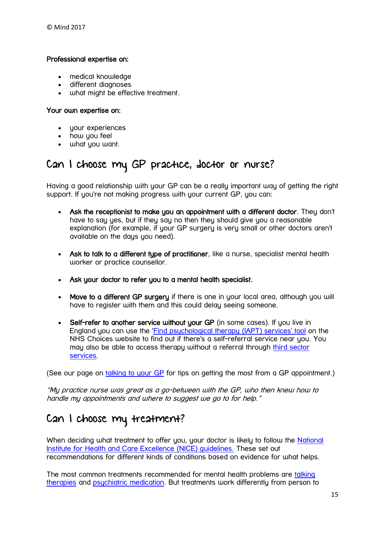#### Professional expertise on:

- medical knowledge
- different diagnoses
- what might be effective treatment.

#### Your own expertise on:

- your experiences
- how you feel
- what you want.

## Can I choose my GP practice, doctor or nurse?

Having a good relationship with your GP can be a really important way of getting the right support. If you're not making progress with your current GP, you can:

- Ask the receptionist to make you an appointment with a different doctor. They don't have to say yes, but if they say no then they should give you a reasonable explanation (for example, if your GP surgery is very small or other doctors aren't available on the days you need).
- Ask to talk to a different tupe of practitioner, like a nurse, specialist mental health worker or practice counsellor.
- Ask your doctor to refer you to a mental health specialist.
- Move to a different GP surgery if there is one in your local area, although you will have to register with them and this could delay seeing someone.
- Self-refer to another service without your GP (in some cases). If you live in England you can use the ['Find psychological therapy \(IAPT\) services' tool](http://www.nhs.uk/Service-Search/Psychological%20therapies%20(IAPT)/LocationSearch/10008) on the NHS Choices website to find out if there's a self-referral service near you. You may also be able to access therapy without a referral through third sector [services.](https://www.mind.org.uk/information-support/guides-to-support-and-services/seeking-help-for-a-mental-health-problem/third-sector-services/)

(See our page on [talking to your GP](https://www.mind.org.uk/information-support/guides-to-support-and-services/seeking-help-for-a-mental-health-problem/talking-to-your-gp/) for tips on getting the most from a GP appointment.)

"My practice nurse was great as a go-between with the GP, who then knew how to handle my appointments and where to suggest we go to for help."

## Can I choose my treatment?

When deciding what treatment to offer you, your doctor is likely to follow the National [Institute for Health and Care Excellence \(NICE\) guidelines.](https://www.nice.org.uk/guidance) These set out recommendations for different kinds of conditions based on evidence for what helps.

The most common treatments recommended for mental health problems are [talking](https://www.mind.org.uk/information-support/drugs-and-treatments/talking-treatments/#.WmhpJa5l-M8)  [therapies](https://www.mind.org.uk/information-support/drugs-and-treatments/talking-treatments/#.WmhpJa5l-M8) and [psychiatric medication.](https://www.mind.org.uk/information-support/drugs-and-treatments/medication/) But treatments work differently from person to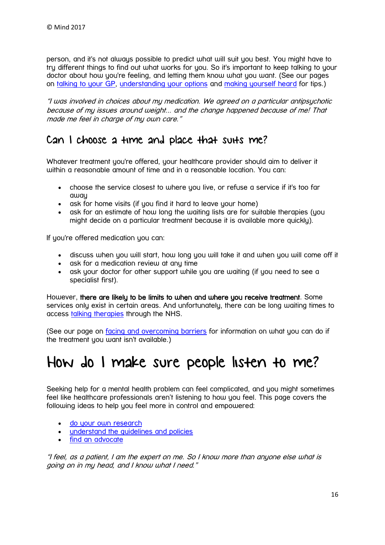person, and it's not always possible to predict what will suit you best. You might have to try different things to find out what works for you. So it's important to keep talking to your doctor about how you're feeling, and letting them know what you want. (See our pages on [talking to your GP,](https://www.mind.org.uk/information-support/guides-to-support-and-services/seeking-help-for-a-mental-health-problem/talking-to-your-gp/) [understanding your options](https://www.mind.org.uk/information-support/guides-to-support-and-services/seeking-help-for-a-mental-health-problem/making-sense-of-your-options/) and [making yourself heard](https://www.mind.org.uk/information-support/guides-to-support-and-services/seeking-help-for-a-mental-health-problem/making-yourself-heard/) for tips.)

"I was involved in choices about my medication. We agreed on a particular antipsychotic because of my issues around weight... and the change happened because of me! That made me feel in charge of my own care."

## Can I choose a time and place that suits me?

Whatever treatment you're offered, your healthcare provider should aim to deliver it within a reasonable amount of time and in a reasonable location. You can:

- choose the service closest to where you live, or refuse a service if it's too far away
- ask for home visits (if you find it hard to leave your home)
- ask for an estimate of how long the waiting lists are for suitable therapies (you might decide on a particular treatment because it is available more quickly).

If you're offered medication you can:

- discuss when you will start, how long you will take it and when you will come off it
- ask for a medication review at any time
- ask your doctor for other support while you are waiting (if you need to see a specialist first).

However, there are likely to be limits to when and where you receive treatment. Some services only exist in certain areas. And unfortunately, there can be long waiting times to access [talking therapies](https://www.mind.org.uk/information-support/drugs-and-treatments/talking-treatments/#.Wl9Kia5l-M8) through the NHS.

(See our page on [facing and overcoming barriers](https://www.mind.org.uk/information-support/guides-to-support-and-services/seeking-help-for-a-mental-health-problem/facing-overcoming-barriers/) for information on what you can do if the treatment you want isn't available.)

## <span id="page-15-0"></span>How do I make sure people listen to me?

Seeking help for a mental health problem can feel complicated, and you might sometimes feel like healthcare professionals aren't listening to how you feel. This page covers the following ideas to help you feel more in control and empowered:

- [do your own research](https://www.mind.org.uk/information-support/guides-to-support-and-services/seeking-help-for-a-mental-health-problem/making-yourself-heard/#research)
- [understand the guidelines and policies](https://www.mind.org.uk/information-support/guides-to-support-and-services/seeking-help-for-a-mental-health-problem/making-yourself-heard/#guidelines)
- [find an advocate](https://www.mind.org.uk/information-support/guides-to-support-and-services/seeking-help-for-a-mental-health-problem/making-yourself-heard/#advocate)

"I feel, as a patient, I am the expert on me. So I know more than anyone else what is going on in my head, and I know what I need."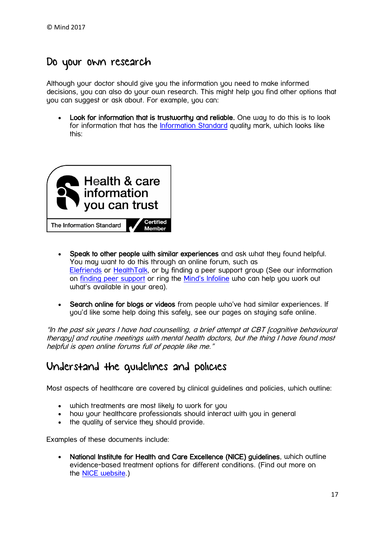### Do your own research

Although your doctor should give you the information you need to make informed decisions, you can also do your own research. This might help you find other options that you can suggest or ask about. For example, you can:

• Look for information that is trustworthy and reliable. One way to do this is to look for information that has the [Information Standard](http://www.england.nhs.uk/tis/about/) quality mark, which looks like this:



- Speak to other people with similar experiences and ask what they found helpful. You may want to do this through an online forum, such as [Elefriends](http://elefriends.org.uk/) or [HealthTalk,](http://www.healthtalk.org/) or by finding a peer support group (See our information on [finding peer support](https://www.mind.org.uk/information-support/drugs-and-treatments/peer-support/finding-peer-support/) or ring the [Mind's Infoline](https://www.mind.org.uk/information-support/helplines/) who can help you work out what's available in your area).
- Search online for blogs or videos from people who've had similar experiences. If you'd like some help doing this safely, see our pages on staying safe online.

"In the past six years I have had counselling, a brief attempt at CBT [cognitive behavioural therapy] and routine meetings with mental health doctors, but the thing I have found most helpful is open online forums full of people like me."

### Understand the guidelines and policies

Most aspects of healthcare are covered by clinical guidelines and policies, which outline:

- which treatments are most likely to work for you
- how your healthcare professionals should interact with you in general
- the quality of service they should provide.

Examples of these documents include:

• National Institute for Health and Care Excellence (NICE) guidelines, which outline evidence-based treatment options for different conditions. (Find out more on the [NICE website.](https://www.nice.org.uk/guidance/conditions-and-diseases/mental-health-and-behavioural-conditions))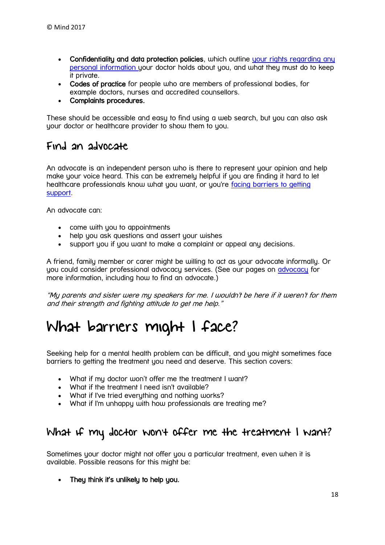- Confidentiality and data protection policies, which outline your rights regarding any [personal information](https://www.mind.org.uk/information-support/legal-rights/personal-information/) your doctor holds about you, and what they must do to keep it private.
- Codes of practice for people who are members of professional bodies, for example doctors, nurses and accredited counsellors.
- Complaints procedures.

These should be accessible and easy to find using a web search, but you can also ask your doctor or healthcare provider to show them to you.

### Find an advocate

An advocate is an independent person who is there to represent your opinion and help make your voice heard. This can be extremely helpful if you are finding it hard to let healthcare professionals know what you want, or you're facing [barriers to getting](https://www.mind.org.uk/information-support/guides-to-support-and-services/seeking-help-for-a-mental-health-problem/facing-overcoming-barriers/)  [support.](https://www.mind.org.uk/information-support/guides-to-support-and-services/seeking-help-for-a-mental-health-problem/facing-overcoming-barriers/)

An advocate can:

- come with you to appointments
- help you ask questions and assert your wishes
- support you if you want to make a complaint or appeal any decisions.

A friend, family member or carer might be willing to act as your advocate informally. Or you could consider professional [advocacy](https://www.mind.org.uk/information-support/guides-to-support-and-services/advocacy/) services. (See our pages on **advocacy** for more information, including how to find an advocate.)

"My parents and sister were my speakers for me. I wouldn't be here if it weren't for them and their strength and fighting attitude to get me help."

## <span id="page-17-0"></span>What barriers might I face?

Seeking help for a mental health problem can be difficult, and you might sometimes face barriers to getting the treatment you need and deserve. This section covers:

- What if my doctor won't offer me the treatment I want?
- What if the treatment I need isn't available?
- What if I've tried everything and nothing works?
- What if I'm unhappy with how professionals are treating me?

## What if my doctor won't offer me the treatment I want?

Sometimes your doctor might not offer you a particular treatment, even when it is available. Possible reasons for this might be:

• They think it's unlikely to help you.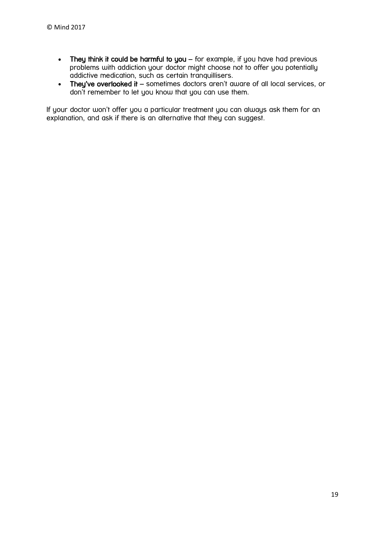- They think it could be harmful to you for example, if you have had previous problems with addiction your doctor might choose not to offer you potentially addictive medication, such as certain tranquillisers.
- They've overlooked it sometimes doctors aren't aware of all local services, or don't remember to let you know that you can use them.

If your doctor won't offer you a particular treatment you can always ask them for an explanation, and ask if there is an alternative that they can suggest.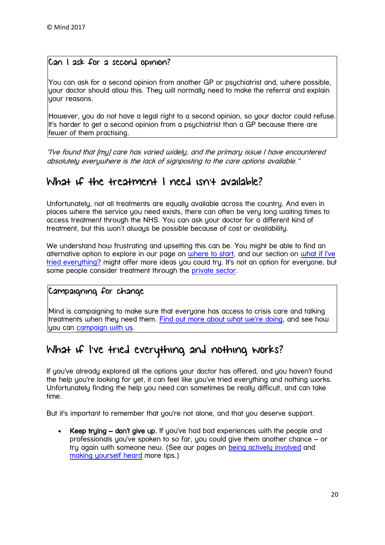#### Can I ask for a second opinion?

You can ask for a second opinion from another GP or psychiatrist and, where possible, your doctor should allow this. They will normally need to make the referral and explain your reasons.

However, you do not have a legal right to a second opinion, so your doctor could refuse. It's harder to get a second opinion from a psychiatrist than a GP because there are fewer of them practising.

"I've found that [my] care has varied widely, and the primary issue I have encountered absolutely everywhere is the lack of signposting to the care options available."

### What if the treatment I need isn't available?

Unfortunately, not all treatments are equally available across the country. And even in places where the service you need exists, there can often be very long waiting times to access treatment through the NHS. You can ask your doctor for a different kind of treatment, but this won't always be possible because of cost or availability.

We understand how frustrating and upsetting this can be. You might be able to find an alternative option to explore in our page on [where to start,](https://www.mind.org.uk/information-support/guides-to-support-and-services/seeking-help-for-a-mental-health-problem/where-to-start/) and our section on what if I've [tried everything?](https://www.mind.org.uk/information-support/guides-to-support-and-services/seeking-help-for-a-mental-health-problem/facing-overcoming-barriers/#triedeverything) might offer more ideas you could try. It's not an option for everyone, but some people consider treatment through the [private sector.](https://www.mind.org.uk/information-support/guides-to-support-and-services/seeking-help-for-a-mental-health-problem/private-sector-care/)

#### Campaigning for change

Mind is campaigning to make sure that everyone has access to crisis care and talking treatments when they need them. [Find out more about what](https://www.mind.org.uk/news-campaigns/campaigns) we're doing, and see how you can [campaign with us.](https://www.mind.org.uk/news-campaigns/campaigns/become-a-campaigner/)

## What if I've tried everything and nothing works?

If you've already explored all the options your doctor has offered, and you haven't found the help you're looking for yet, it can feel like you've tried everything and nothing works. Unfortunately finding the help you need can sometimes be really difficult, and can take time.

But it's important to remember that you're not alone, and that you deserve support.

• Keep truing – don't give up. If you've had bad experiences with the people and professionals you've spoken to so far, you could give them another chance – or try again with someone new. (See our pages on [being actively involved](https://www.mind.org.uk/information-support/guides-to-support-and-services/seeking-help-for-a-mental-health-problem/being-actively-involved/) and [making yourself heard](https://www.mind.org.uk/information-support/guides-to-support-and-services/seeking-help-for-a-mental-health-problem/making-yourself-heard/) more tips.)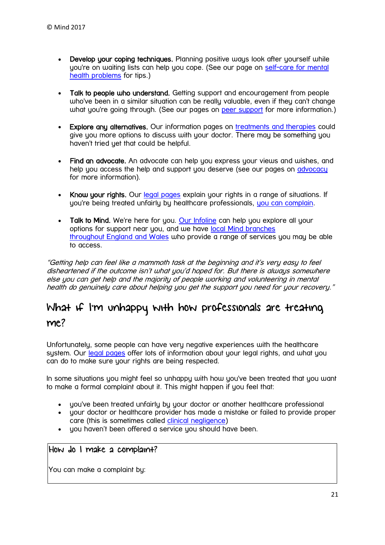- Develop your coping techniques. Planning positive ways look after yourself while you're on waiting lists can help you cope. (See our page on [self-care for mental](https://www.mind.org.uk/information-support/types-of-mental-health-problems/mental-health-problems-introduction/self-care/)  [health problems](https://www.mind.org.uk/information-support/types-of-mental-health-problems/mental-health-problems-introduction/self-care/) for tips.)
- Talk to people who understand. Getting support and encouragement from people who've been in a similar situation can be really valuable, even if they can't change what you're going through. (See our pages on [peer support](https://www.mind.org.uk/information-support/drugs-and-treatments/peer-support/) for more information.)
- Explore any alternatives. Our information pages on [treatments and therapies](https://www.mind.org.uk/information-support/drugs-and-treatments/) could give you more options to discuss with your doctor. There may be something you haven't tried yet that could be helpful.
- Find an advocate. An advocate can help you express your views and wishes, and help you access the help and support you deserve (see our pages on [advocacy](https://www.mind.org.uk/information-support/guides-to-support-and-services/advocacy/) for more information).
- Know your rights. Our [legal pages](https://www.mind.org.uk/information-support/legal-rights/) explain your rights in a range of situations. If you're being treated unfairly by healthcare professionals, [you can complain.](https://www.mind.org.uk/information-support/legal-rights/complaining-about-health-and-social-care/)
- Talk to Mind. We're here for you. [Our Infoline](https://www.mind.org.uk/information-support/helplines/) can help you explore all your options for support near you, and we have [local Mind branches](https://www.mind.org.uk/information-support/local-minds/)  throughout [England and Wales](https://www.mind.org.uk/information-support/local-minds/) who provide a range of services you may be able to access.

"Getting help can feel like a mammoth task at the beginning and it's very easy to feel disheartened if the outcome isn't what you'd hoped for. But there is always somewhere else you can get help and the majority of people working and volunteering in mental health do genuinely care about helping you get the support you need for your recovery."

## What if I'm unhappy with how professionals are treating me?

Unfortunately, some people can have very negative experiences with the healthcare sustem. Our [legal pages](https://www.mind.org.uk/information-support/legal-rights/) offer lots of information about your legal rights, and what you can do to make sure your rights are being respected.

In some situations you might feel so unhappy with how you've been treated that you want to make a formal complaint about it. This might happen if you feel that:

- you've been treated unfairly by your doctor or another healthcare professional
- your doctor or healthcare provider has made a mistake or failed to provide proper care (this is sometimes called [clinical negligence\)](https://www.mind.org.uk/information-support/legal-rights/clinical-negligence/)
- you haven't been offered a service you should have been.

#### How do I make a complaint?

You can make a complaint by: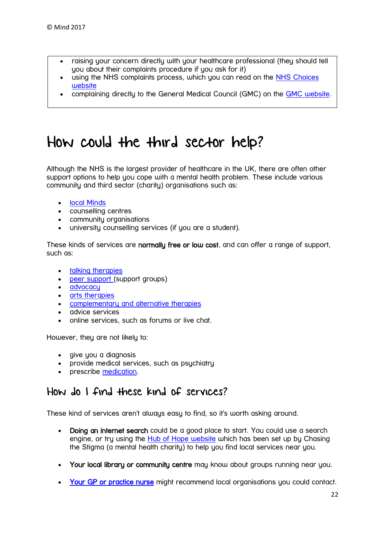- raising your concern directly with your healthcare professional (they should tell you about their complaints procedure if you ask for it)
- using the NHS complaints process, which you can read on the NHS Choices [website](http://www.nhs.uk/choiceintheNHS/Rightsandpledges/complaints/Pages/NHScomplaints.aspx)
- complaining directly to the General Medical Council (GMC) on the [GMC website.](http://www.gmc-uk.org/concerns/23339.asp)

## <span id="page-21-0"></span>How could the third sector help?

Although the NHS is the largest provider of healthcare in the UK, there are often other support options to help you cope with a mental health problem. These include various community and third sector (charity) organisations such as:

- [local Minds](https://www.mind.org.uk/information-support/local-minds/)
- counselling centres
- community organisations
- university counselling services (if you are a student).

These kinds of services are normally free or low cost, and can offer a range of support, such as:

- [talking therapies](https://www.mind.org.uk/information-support/drugs-and-treatments/talking-therapy-and-counselling/)
- [peer support \(](https://www.mind.org.uk/information-support/drugs-and-treatments/peer-support/)support groups)
- **[advocacy](https://www.mind.org.uk/information-support/guides-to-support-and-services/advocacy/)**
- [arts therapies](https://www.mind.org.uk/information-support/drugs-and-treatments/arts-and-creative-therapies/)
- [complementary and alternative therapies](https://www.mind.org.uk/information-support/drugs-and-treatments/complementary-and-alternative-therapies/)
- advice services
- online services, such as forums or live chat.

However, they are not likely to:

- aive you a diagnosis
- provide medical services, such as psychiatry
- prescribe [medication.](https://www.mind.org.uk/information-support/drugs-and-treatments/medication/)

## How do I find these kind of services?

These kind of services aren't always easy to find, so it's worth asking around.

- Doing an internet search could be a good place to start. You could use a search engine, or try using the [Hub of Hope website](https://hubofhope.co.uk/) which has been set up by Chasing the Stigma (a mental health charity) to help you find local services near you.
- Your local library or community centre may know about aroups running near you.
- [Your GP or practice nurse](https://www.mind.org.uk/information-support/guides-to-support-and-services/seeking-help-for-a-mental-health-problem/talking-to-your-gp/) might recommend local organisations you could contact.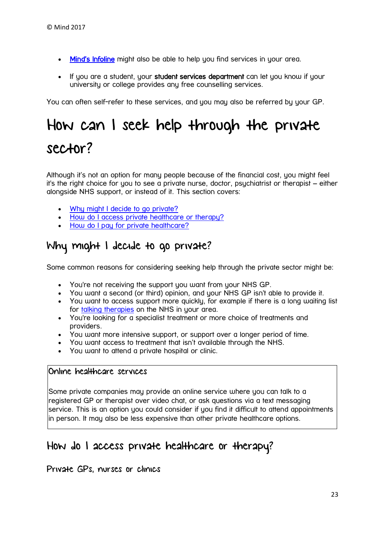- [Mind's Infoline](https://www.mind.org.uk/information-support/helplines/) might also be able to help you find services in your area.
- If you are a student, your student services department can let you know if your university or college provides any free counselling services.

You can often self-refer to these services, and you may also be referred by your GP.

## <span id="page-22-0"></span>How can I seek help through the private sector?

Although it's not an option for many people because of the financial cost, you might feel it's the right choice for you to see a private nurse, doctor, psychiatrist or therapist – either alongside NHS support, or instead of it. This section covers:

- [Why might I decide to go private?](https://www.mind.org.uk/information-support/guides-to-support-and-services/seeking-help-for-a-mental-health-problem/private-sector-care/#why)
- [How do I access private healthcare or therapy?](https://www.mind.org.uk/information-support/guides-to-support-and-services/seeking-help-for-a-mental-health-problem/private-sector-care/#how)
- [How do I pay for private healthcare?](https://www.mind.org.uk/information-support/guides-to-support-and-services/seeking-help-for-a-mental-health-problem/private-sector-care/#pay)

## Why might I decide to go private?

Some common reasons for considering seeking help through the private sector might be:

- You're not receiving the support you want from your NHS GP.
- You want a second (or third) opinion, and your NHS GP isn't able to provide it.
- You want to access support more quickly, for example if there is a long waiting list for [talking therapies](https://www.mind.org.uk/information-support/drugs-and-treatments/talking-therapy-and-counselling/) on the NHS in your area.
- You're looking for a specialist treatment or more choice of treatments and providers.
- You want more intensive support, or support over a longer period of time.
- You want access to treatment that isn't available through the NHS.
- You want to attend a private hospital or clinic.

#### Online healthcare services

Some private companies may provide an online service where you can talk to a registered GP or therapist over video chat, or ask questions via a text messaging service. This is an option you could consider if you find it difficult to attend appointments in person. It may also be less expensive than other private healthcare options.

## How do I access private healthcare or therapy?

Private GPs, nurses or clinics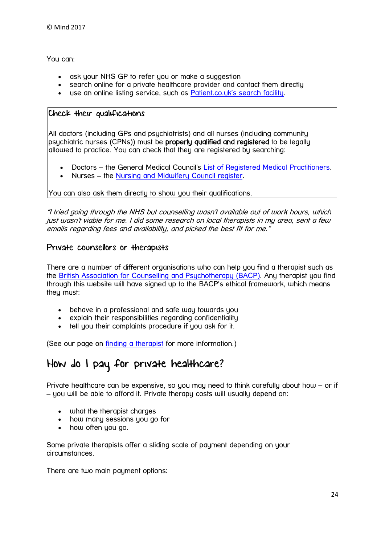You can:

- ask your NHS GP to refer you or make a suggestion
- search online for a private healthcare provider and contact them directly
- use an online listing service, such as **[Patient.co.uk's search facility.](http://www.patient.co.uk/find_me)**

#### Check their qualifications

All doctors (including GPs and psychiatrists) and all nurses (including community psychiatric nurses (CPNs)) must be properly qualified and registered to be legally allowed to practice. You can check that they are registered by searching:

- Doctors the General Medical Council's [List of Registered Medical Practitioners.](http://www.gmc-uk.org/doctors/register/LRMP.asp)
- Nurses the [Nursing and Midwifery Council register.](http://www.nmc-uk.org/search-the-register/)

You can also ask them directly to show you their qualifications.

"I tried going through the NHS but counselling wasn't available out of work hours, which just wasn't viable for me. I did some research on local therapists in my area, sent a few emails regarding fees and availability, and picked the best fit for me."

#### Private counsellors or therapists

There are a number of different organisations who can help you find a therapist such as the [British Association for Counselling and Psychotherapy \(BACP\).](http://www.itsgoodtotalk.org.uk/therapists/) Any therapist you find through this website will have signed up to the BACP's ethical framework, which means they must:

- behave in a professional and safe way towards you
- explain their responsibilities regarding confidentiality
- tell you their complaints procedure if you ask for it.

(See our page on [finding a therapist](https://www.mind.org.uk/information-support/drugs-and-treatments/talking-therapy-and-counselling/how-to-find-a-therapist/) for more information.)

## How do I pay for private healthcare?

Private healthcare can be expensive, so you may need to think carefully about how – or if – you will be able to afford it. Private therapy costs will usually depend on:

- what the therapist charges
- how many sessions you go for
- how often you go.

Some private therapists offer a sliding scale of payment depending on your circumstances.

There are two main payment options: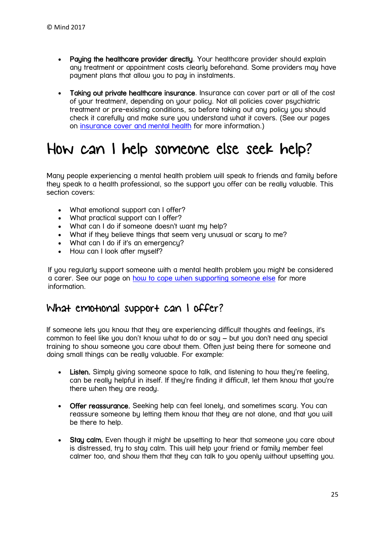- Paying the healthcare provider directly. Your healthcare provider should explain any treatment or appointment costs clearly beforehand. Some providers may have payment plans that allow you to pay in instalments.
- Taking out private healthcare insurance. Insurance can cover part or all of the cost of your treatment, depending on your policy. Not all policies cover psychiatric treatment or pre-existing conditions, so before taking out any policy you should check it carefully and make sure you understand what it covers. (See our pages on [insurance cover and mental health](https://www.mind.org.uk/information-support/guides-to-support-and-services/insurance-cover-and-mental-health/) for more information.)

## <span id="page-24-0"></span>How can I help someone else seek help?

Many people experiencing a mental health problem will speak to friends and family before they speak to a health professional, so the support you offer can be really valuable. This section covers:

- What emotional support can I offer?
- What practical support can I offer?
- What can I do if someone doesn't want mu help?
- What if they believe things that seem very unusual or scary to me?
- What can I do if it's an emergency?
- How can I look after myself?

If you regularly support someone with a mental health problem you might be considered a carer. See our page on [how to cope when supporting someone else](https://www.mind.org.uk/information-support/helping-someone-else/carers-friends-family-coping-support/) for more information.

### What emotional support can I offer?

If someone lets you know that they are experiencing difficult thoughts and feelings, it's common to feel like you don't know what to do or say – but you don't need any special training to show someone you care about them. Often just being there for someone and doing small things can be really valuable. For example:

- Listen. Simply giving someone space to talk, and listening to how they're feeling, can be really helpful in itself. If they're finding it difficult, let them know that you're there when they are ready.
- Offer reassurance. Seeking help can feel lonely, and sometimes scary. You can reassure someone by letting them know that they are not alone, and that you will be there to help.
- Stau calm. Even though it might be upsetting to hear that someone you care about is distressed, try to stay calm. This will help your friend or family member feel calmer too, and show them that they can talk to you openly without upsetting you.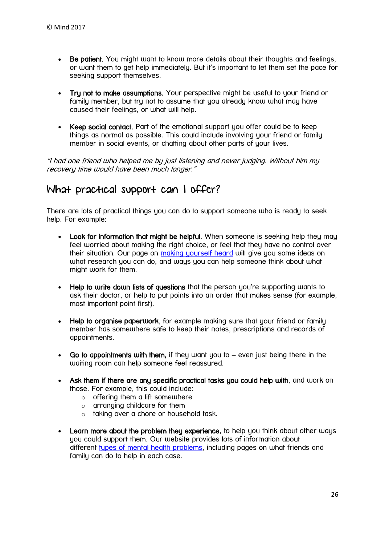- Be patient. You might want to know more details about their thoughts and feelings, or want them to get help immediately. But it's important to let them set the pace for seeking support themselves.
- Try not to make assumptions. Your perspective might be useful to your friend or family member, but try not to assume that you already know what may have caused their feelings, or what will help.
- Keep social contact. Part of the emotional support you offer could be to keep things as normal as possible. This could include involving your friend or family member in social events, or chatting about other parts of your lives.

"I had one friend who helped me by just listening and never judging. Without him my recovery time would have been much longer."

### What practical support can I offer?

There are lots of practical things you can do to support someone who is ready to seek help. For example:

- Look for information that might be helpful. When someone is seeking help they may feel worried about making the right choice, or feel that they have no control over their situation. Our page on [making yourself heard](https://www.mind.org.uk/information-support/guides-to-support-and-services/seeking-help-for-a-mental-health-problem/making-yourself-heard/) will give you some ideas on what research you can do, and ways you can help someone think about what might work for them.
- Help to write down lists of questions that the person you're supporting wants to ask their doctor, or help to put points into an order that makes sense (for example, most important point first).
- Help to organise paperwork, for example making sure that your friend or family member has somewhere safe to keep their notes, prescriptions and records of appointments.
- Go to appointments with them, if they want you to  $-$  even just being there in the waiting room can help someone feel reassured.
- Ask them if there are any specific practical tasks you could help with, and work on those. For example, this could include:
	- o offering them a lift somewhere
	- o arranging childcare for them
	- o taking over a chore or household task.
- Learn more about the problem they experience, to help you think about other ways you could support them. Our website provides lots of information about different [types of mental health problems,](https://www.mind.org.uk/information-support/types-of-mental-health-problems/) including pages on what friends and family can do to help in each case.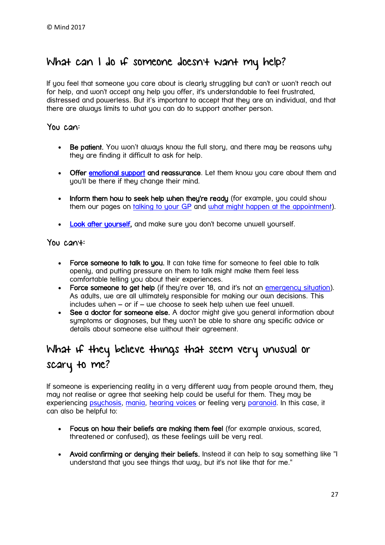## What can I do if someone doesn't want my help?

If you feel that someone you care about is clearly struggling but can't or won't reach out for help, and won't accept any help you offer, it's understandable to feel frustrated, distressed and powerless. But it's important to accept that they are an individual, and that there are always limits to what you can do to support another person.

You can:

- Be patient. You won't always know the full story, and there may be reasons why they are finding it difficult to ask for help.
- Offer **emotional support** and reassurance. Let them know you care about them and you'll be there if they change their mind.
- Inform them how to seek help when they're ready (for example, you could show them our pages on [talking to your GP](https://www.mind.org.uk/information-support/guides-to-support-and-services/seeking-help-for-a-mental-health-problem/talking-to-your-gp/) and [what might happen at the appointment\)](https://www.mind.org.uk/information-support/guides-to-support-and-services/seeking-help-for-a-mental-health-problem/what-might-happen-at-a-gp-appointment/).
- [Look after yourself,](https://www.mind.org.uk/information-support/guides-to-support-and-services/seeking-help-for-a-mental-health-problem/helping-someone-else-seek-help/#yourself) and make sure you don't become unwell yourself.

You can't:

- Force someone to talk to you. It can take time for someone to feel able to talk openly, and putting pressure on them to talk might make them feel less comfortable telling you about their experiences.
- Force someone to get help (if they're over 18, and it's not an [emergency situation\)](https://www.mind.org.uk/information-support/guides-to-support-and-services/seeking-help-for-a-mental-health-problem/helping-someone-else-seek-help/#emergency). As adults, we are all ultimately responsible for making our own decisions. This includes when – or if – we choose to seek help when we feel unwell.
- See a doctor for someone else. A doctor might give you general information about symptoms or diagnoses, but they won't be able to share any specific advice or details about someone else without their agreement.

## What if they believe things that seem very unusual or scary to me?

If someone is experiencing reality in a very different way from people around them, they may not realise or agree that seeking help could be useful for them. They may be experiencing [psychosis,](https://www.mind.org.uk/information-support/types-of-mental-health-problems/psychosis/) [mania,](https://www.mind.org.uk/information-support/types-of-mental-health-problems/hypomania-and-mania/) [hearing voices](https://www.mind.org.uk/information-support/types-of-mental-health-problems/hearing-voices/) or feeling very [paranoid.](https://www.mind.org.uk/information-support/types-of-mental-health-problems/paranoia/) In this case, it can also be helpful to:

- Focus on how their beliefs are making them feel (for example anxious, scared, threatened or confused), as these feelings will be very real.
- Avoid confirming or denuing their beliefs. Instead it can help to say something like "I understand that you see things that way, but it's not like that for me."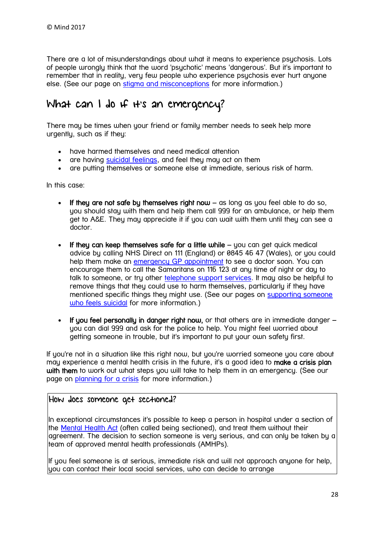There are a lot of misunderstandings about what it means to experience psychosis. Lots of people wrongly think that the word 'psychotic' means 'dangerous'. But it's important to remember that in reality, very few people who experience psychosis ever hurt anyone else. (See our page on [stigma and misconceptions](https://www.mind.org.uk/information-support/types-of-mental-health-problems/mental-health-problems-introduction/stigma-misconceptions/) for more information.)

## What can I do if it's an emergency?

There may be times when your friend or family member needs to seek help more urgently, such as if they:

- have harmed themselves and need medical attention
- are having [suicidal feelings,](https://www.mind.org.uk/information-support/types-of-mental-health-problems/suicidal-feelings/) and feel they may act on them
- are putting themselves or someone else at immediate, serious risk of harm.

In this case:

- If they are not safe by themselves right now  $-$  as long as you feel able to do so, you should stay with them and help them call 999 for an ambulance, or help them get to A&E. They may appreciate it if you can wait with them until they can see a doctor.
- If they can keep themselves safe for a little while  $-$  you can get quick medical advice by calling NHS Direct on 111 (England) or 0845 46 47 (Wales), or you could help them make an [emergency GP appointment](https://www.mind.org.uk/information-support/guides-to-support-and-services/crisis-services/accident-emergency-ae/) to see a doctor soon. You can encourage them to call the Samaritans on 116 123 at any time of night or day to talk to someone, or try other [telephone support services.](https://www.mind.org.uk/information-support/guides-to-support-and-services/crisis-services/helplines-listening-services/) It may also be helpful to remove things that they could use to harm themselves, particularly if they have mentioned specific things they might use. (See our pages on [supporting someone](https://www.mind.org.uk/information-support/helping-someone-else/supporting-someone-who-feels-suicidal/)  [who feels suicidal](https://www.mind.org.uk/information-support/helping-someone-else/supporting-someone-who-feels-suicidal/) for more information.)
- If you feel personally in danger right now, or that others are in immediate danger you can dial 999 and ask for the police to help. You might feel worried about getting someone in trouble, but it's important to put your own safety first.

If you're not in a situation like this right now, but you're worried someone you care about may experience a mental health crisis in the future, it's a good idea to make a crisis plan with them to work out what steps you will take to help them in an emergency. (See our page on [planning for a crisis](https://www.mind.org.uk/information-support/guides-to-support-and-services/seeking-help-for-a-mental-health-problem/helping-someone-else-seek-help/) for more information.)

#### How does someone get sectioned?

In exceptional circumstances it's possible to keep a person in hospital under a section of the [Mental Health Act](https://www.mind.org.uk/information-support/legal-rights/mental-health-act-1983/) (often called being sectioned), and treat them without their agreement. The decision to section someone is very serious, and can only be taken by a team of approved mental health professionals (AMHPs).

If you feel someone is at serious, immediate risk and will not approach anyone for help, you can contact their local social services, who can decide to arrange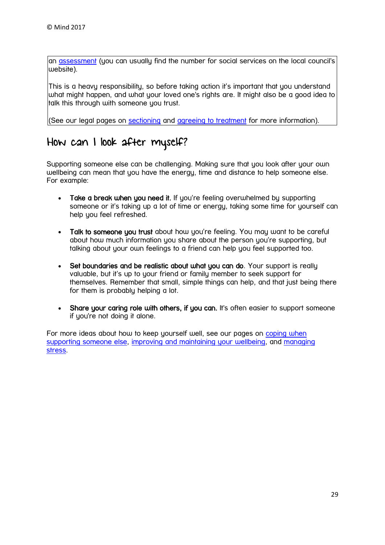an [assessment](https://www.mind.org.uk/information-support/legal-rights/sectioning/being-assessed/) (you can usually find the number for social services on the local council's website).

This is a heavy responsibility, so before taking action it's important that you understand what might happen, and what your loved one's rights are. It might also be a good idea to talk this through with someone you trust.

(See our legal pages on [sectioning](https://www.mind.org.uk/information-support/legal-rights/sectioning/) and [agreeing to treatment](https://www.mind.org.uk/information-support/legal-rights/agreeing-to-treatment/) for more information).

## How can I look after myself?

Supporting someone else can be challenging. Making sure that you look after your own wellbeing can mean that you have the energy, time and distance to help someone else. For example:

- Take a break when you need it. If you're feeling overwhelmed by supporting someone or it's taking up a lot of time or energy, taking some time for yourself can help you feel refreshed.
- Talk to someone you trust about how you're feeling. You may want to be careful about how much information you share about the person you're supporting, but talking about your own feelings to a friend can help you feel supported too.
- Set boundaries and be realistic about what you can do. Your support is really valuable, but it's up to your friend or family member to seek support for themselves. Remember that small, simple things can help, and that just being there for them is probably helping a lot.
- Share your caring role with others, if you can. It's often easier to support someone if you're not doing it alone.

For more ideas about how to keep yourself well, see our pages on [coping when](https://www.mind.org.uk/information-support/helping-someone-else/carers-friends-family-coping-support/)  [supporting someone else,](https://www.mind.org.uk/information-support/helping-someone-else/carers-friends-family-coping-support/) [improving and maintaining your wellbeing,](https://www.mind.org.uk/information-support/tips-for-everyday-living/wellbeing/) and [managing](https://www.mind.org.uk/information-support/types-of-mental-health-problems/stress/)  [stress.](https://www.mind.org.uk/information-support/types-of-mental-health-problems/stress/)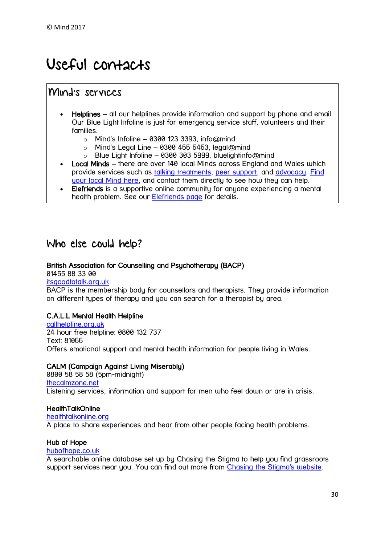## <span id="page-29-0"></span>Useful contacts

## Mind's services

- Helplines all our helplines provide information and support by phone and email. Our Blue Light Infoline is just for emergency service staff, volunteers and their families.
	- $\circ$  Mind's Infoline 0300 123 3393, info@mind
	- $\circ$  Mind's Legal Line 0300 466 6463, legal@mind
	- $\circ$  Blue Light Infoline 0300 303 5999, bluelightinfo@mind
- **Local Minds** there are over 140 local Minds across England and Wales which provide services such as [talking treatments,](https://www.mind.org.uk/information-support/drugs-and-treatments/talking-treatments/) [peer support,](https://www.mind.org.uk/information-support/drugs-and-treatments/peer-support/) and [advocacy.](https://www.mind.org.uk/information-support/guides-to-support-and-services/advocacy/) [Find](https://www.mind.org.uk/information-support/local-minds/)  [your local Mind here,](https://www.mind.org.uk/information-support/local-minds/) and contact them directly to see how they can help.
- Elefriends is a supportive online community for anyone experiencing a mental health problem. See our [Elefriends page](https://www.mind.org.uk/elefriends/) for details.

### Who else could help?

#### British Association for Counselling and Psychotherapy (BACP)

01455 88 33 00 [itsgoodtotalk.org.uk](http://www.itsgoodtotalk.org.uk/)

BACP is the membership body for counsellors and therapists. They provide information on different types of therapy and you can search for a therapist by area.

#### C.A.L.L Mental Health Helpline

[callhelpline.org.uk](http://www.callhelpline.org.uk/Default.asp) 24 hour free helpline: 0800 132 737 Text: 81066 Offers emotional support and mental health information for people living in Wales.

#### CALM (Campaign Against Living Miserably)

0800 58 58 58 (5pm-midnight) [thecalmzone.net](https://www.thecalmzone.net/) Listening services, information and support for men who feel down or are in crisis.

#### **HealthTalkOnline**

[healthtalkonline.org](http://www.healthtalkonline.org/) A place to share experiences and hear from other people facing health problems.

#### Hub of Hope

[hubofhope.co.uk](https://hubofhope.co.uk/)

A searchable online database set up by Chasing the Stigma to help you find grassroots support services near you. You can find out more from [Chasing the Stigma's website.](https://chasingthestigma.co.uk/)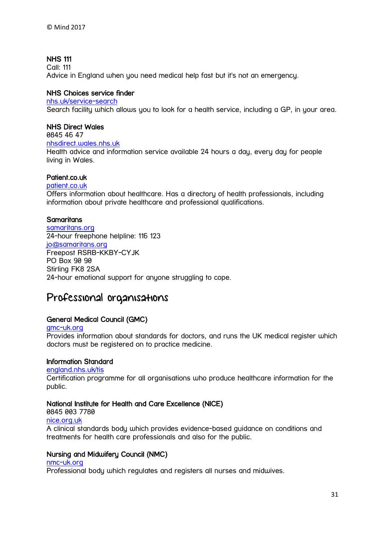#### NHS 111

Call: 111

Advice in England when you need medical help fast but it's not an emergency.

#### NHS Choices service finder

[nhs.uk/service-search](http://www.nhs.uk/service-search) Search facility which allows you to look for a health service, including a GP, in your area.

#### NHS Direct Wales

0845 46 47 [nhsdirect.wales.nhs.uk](http://www.nhsdirect.wales.nhs.uk/) Health advice and information service available 24 hours a day, every day for people living in Wales.

#### Patient.co.uk

#### [patient.co.uk](http://www.patient.co.uk/find_me)

Offers information about healthcare. Has a directory of health professionals, including information about private healthcare and professional qualifications.

#### **Samaritans**

[samaritans.org](http://www.samaritans.org/) 24-hour freephone helpline: 116 123 [jo@samaritans.org](mailto:jo@samaritans.org) Freepost RSRB-KKBY-CYJK PO Box 90 90 Stirling FK8 2S[A](http://www.samaritans.org/) 24-hour emotional support for anyone struggling to cope.

### Professional organisations

#### General Medical Council (GMC)

#### [gmc-uk.org](http://www.gmc-uk.org/)

Provides information about standards for doctors, and runs the UK medical register which doctors must be registered on to practice medicine.

#### Information Standard

#### [england.nhs.uk/tis](http://www.england.nhs.uk/tis)

Certification programme for all organisations who produce healthcare information for the public.

#### National Institute for Health and Care Excellence (NICE)

0845 003 778[0](http://www.nice.org.uk/)

#### [nice.org.uk](http://www.nice.org.uk/)

A clinical standards body which provides evidence-based guidance on conditions and treatments for health care professionals and also for the public.

#### Nursing and Midwifery Council (NMC)

[nmc-uk.org](http://www.nmc-uk.org/)

Professional body which regulates and registers all nurses and midwives.